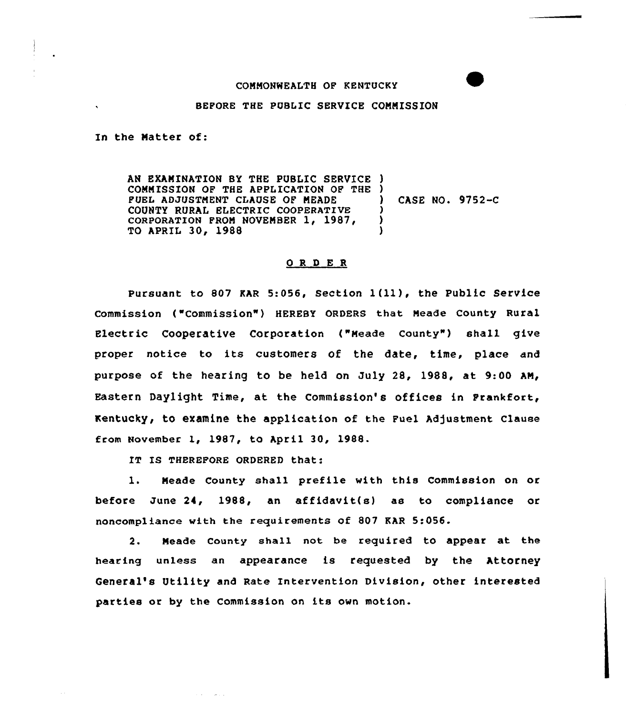## COMMONWEALTH OF KENTUCKY

## BEPORE THE PUBLIC SERVICE CONNISSION

In the Natter of:

AN EXAMINATION BY THE PUBLIC SERVICE ) COMMISSION OP THE APPLICATION OP THE ) PUEL ADJUSTMENT CLAUSE OF MEADE COUNTY RURAL ELECTRIC COOPERATIVE coRP0RATIoN FRQM NQUENBER 1, 1987, TO APRIL 30, 1988 ) CASE NO. 9752-C ) ) )

## ORDER

Pursuant to <sup>807</sup> MR 5:056, Section <sup>1</sup> (ll ), the Public Service commission ("commission" ) HEREBY oRDERs that Neade county Rural Electric Cooperative Corporation ("Meade County") shall give proper notice to its customers of the date, time, place and purpose of the hearing to be held on July 28, 1988, at 9:00 AN, Eastern Daylight Time, at the Commission's offices in Prankfort, Kentucky, to examine the application of the Fuel Adjustment Clause from November 1, 1987, to April 30, 1988.

IT IS THEREFORE ORDERED that:

control and an

1. Neade County shall prefile with this Commission on or before June 24, 1988, an affidavit(s) as to compliance or noncompliance with the requirements of 807 EAR 5:056.

2. Neade County shall not be required to appear at the hearing unless an appearance is requested by the Attorney General's Utility and Rate Intervention Division, other interested parties or by the Commission on its own motion.